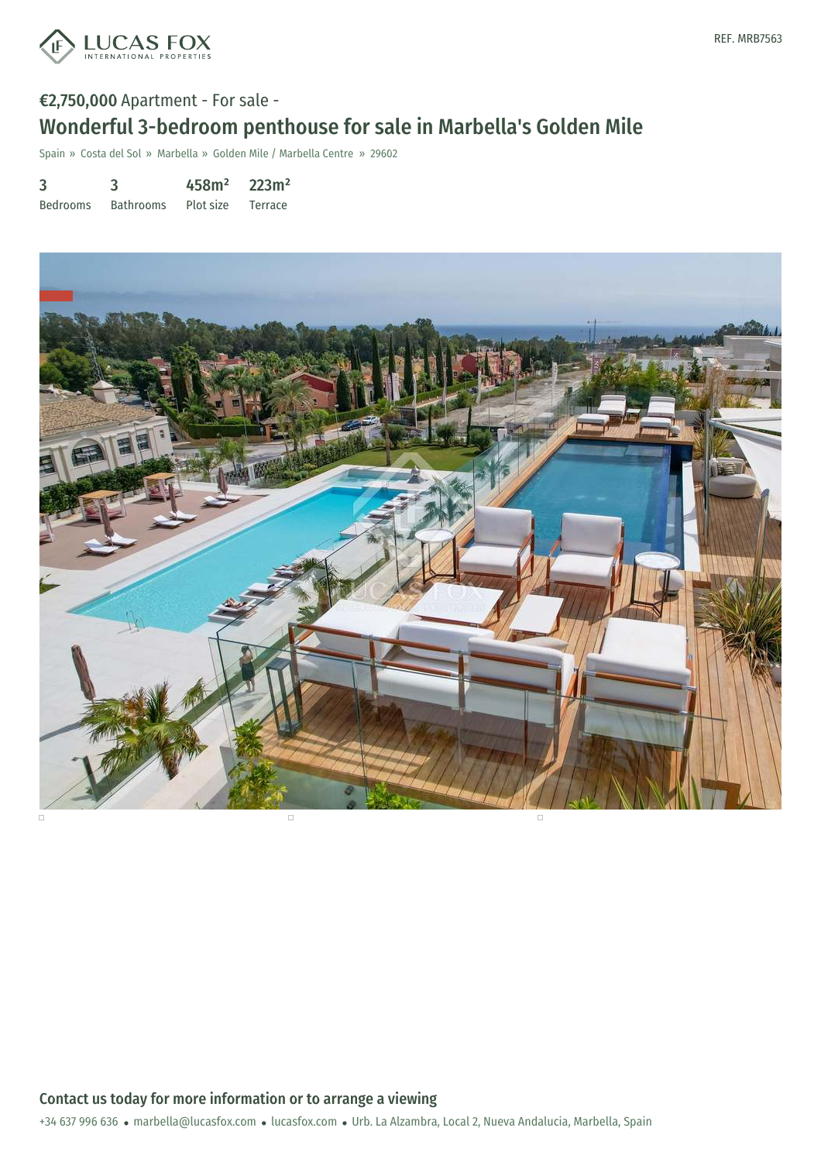

# €2,750,000 Apartment - For sale - Wonderful 3-bedroom penthouse for sale in Marbella's Golden Mile

Spain » Costa del Sol » Marbella » Golden Mile / Marbella Centre » 29602

|  | 458m <sup>2</sup> | 223m <sup>2</sup> |
|--|-------------------|-------------------|
|  |                   |                   |

Bedrooms Bathrooms Plot size Terrace



+34 637 996 636 · marbella@lucasfox.com · lucasfox.com · Urb. La Alzambra, Local 2, Nueva Andalucia, Marbella, Spain